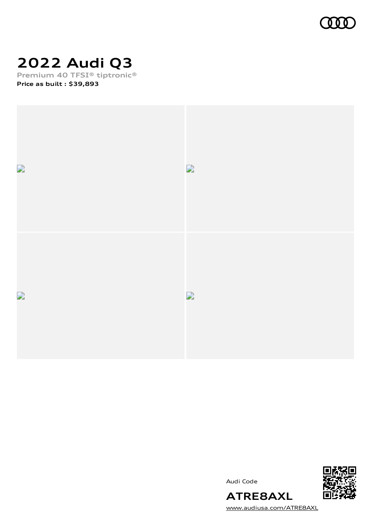

# **2022 Audi Q3**

**Premium 40 TFSI® tiptronic® Price as built [:](#page-10-0) \$39,893**



Audi Code



**ATRE8AXL** [www.audiusa.com/ATRE8AXL](https://www.audiusa.com/ATRE8AXL)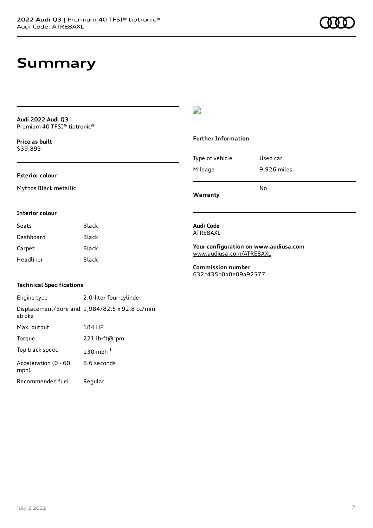### **Summary**

**Audi 2022 Audi Q3** Premium 40 TFSI® tiptronic®

**Price as buil[t](#page-10-0)** \$39,893

#### **Exterior colour**

Mythos Black metallic

#### D

#### **Further Information**

Type of vehicle Used car Mileage 9,926 miles No

**Warranty**

#### **Interior colour**

| Seats     | Black |
|-----------|-------|
| Dashboard | Black |
| Carpet    | Black |
| Headliner | Black |

#### **Technical Specifications**

Engine type 2.0-liter four-cylinder Displacement/Bore and 1,984/82.5 x 92.8 cc/mm stroke Max. output 184 HP Torque 221 lb-ft@rpm Top track speed [1](#page-10-0)30 mph $<sup>1</sup>$ </sup> Acceleration (0 - 60 mph) 8.6 seconds Recommended fuel Regular

#### **Audi Code** ATRE8AXL

**Your configuration on www.audiusa.com** [www.audiusa.com/ATRE8AXL](https://www.audiusa.com/ATRE8AXL)

**Commission number** 632c435b0a0e09a92577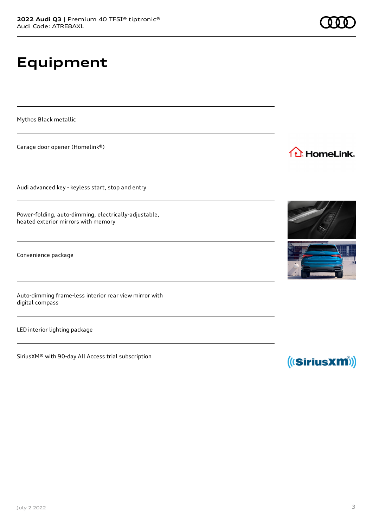**Equipment**

Mythos Black metallic

Garage door opener (Homelink®)

Audi advanced key - keyless start, stop and entry

Power-folding, auto-dimming, electrically-adjustable, heated exterior mirrors with memory

Convenience package

Auto-dimming frame-less interior rear view mirror with digital compass

LED interior lighting package

SiriusXM® with 90-day All Access trial subscription



1<sup>1</sup> HomeLink.

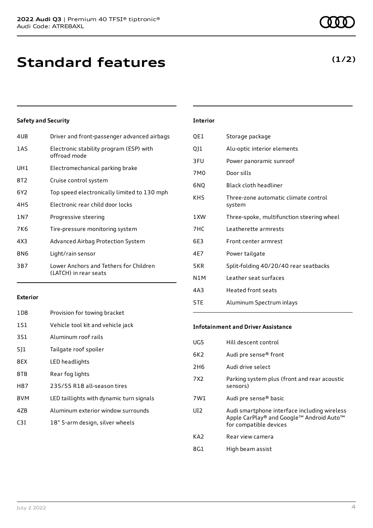| 4UB   | Driver and front-passenger advanced airbags                     |
|-------|-----------------------------------------------------------------|
| 1AS   | Electronic stability program (ESP) with<br>offroad mode         |
| UH1   | Electromechanical parking brake                                 |
| 8T2   | Cruise control system                                           |
| 6Y2   | Top speed electronically limited to 130 mph                     |
| 4H5   | Electronic rear child door locks                                |
| 1 N 7 | Progressive steering                                            |
| 7K6   | Tire-pressure monitoring system                                 |
| 4X3   | Advanced Airbag Protection System                               |
| 8N6   | Light/rain sensor                                               |
| 3B7   | Lower Anchors and Tethers for Children<br>(LATCH) in rear seats |
|       |                                                                 |

| QE1 | Storage package             |
|-----|-----------------------------|
| Q11 | Alu-optic interior elements |
| 3FU | Power panoramic sunroof     |
| 7M0 | Door sills                  |

**Interior**

6NQ Black cloth headliner

| KH <sub>5</sub> | Three-zone automatic climate control<br>system |
|-----------------|------------------------------------------------|
| 1XW             | Three-spoke, multifunction steering wheel      |
| 7HC             | Leatherette armrests                           |
| 6E3             | Front center armrest                           |
| 4E7             | Power tailgate                                 |
| 5KR             | Split-folding 40/20/40 rear seatbacks          |
| N1M             | Leather seat surfaces                          |
| 4A3             | <b>Heated front seats</b>                      |
| 5TE             | Aluminum Spectrum inlays                       |

#### **Exterior**

| 1D8 | Provision for towing bracket             |
|-----|------------------------------------------|
| 1S1 | Vehicle tool kit and vehicle jack        |
| 3S1 | Aluminum roof rails                      |
| 511 | Tailgate roof spoiler                    |
| 8EX | LED headlights                           |
| 8TB | Rear fog lights                          |
| H87 | 235/55 R18 all-season tires              |
| 8VM | LED taillights with dynamic turn signals |
| 47B | Aluminum exterior window surrounds       |
| C3T | 18" 5-arm design, silver wheels          |
|     |                                          |

#### **Infotainment and Driver Assistance**

| UG5  | Hill descent control                                                                                               |
|------|--------------------------------------------------------------------------------------------------------------------|
| 6K2. | Audi pre sense® front                                                                                              |
| 2H6  | Audi drive select                                                                                                  |
| 7X2  | Parking system plus (front and rear acoustic<br>sensors)                                                           |
| 7W1  | Audi pre sense® basic                                                                                              |
| UI2  | Audi smartphone interface including wireless<br>Apple CarPlay® and Google™ Android Auto™<br>for compatible devices |
| KA2  | Rear view camera                                                                                                   |
| 8G1  | High beam assist                                                                                                   |
|      |                                                                                                                    |

### **(1/2)**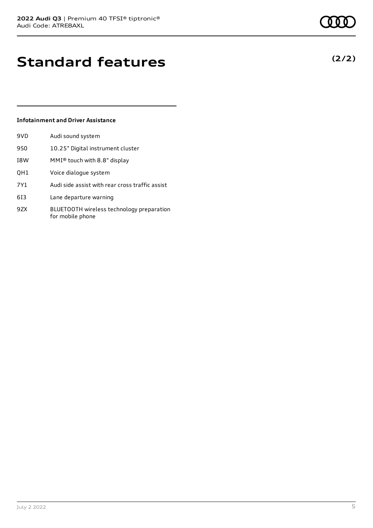# **Standard features**

#### **Infotainment and Driver Assistance**

| 9VD | Audi sound system                                             |
|-----|---------------------------------------------------------------|
| 9S0 | 10.25" Digital instrument cluster                             |
| I8W | MMI® touch with 8.8" display                                  |
| QH1 | Voice dialogue system                                         |
| 7Y1 | Audi side assist with rear cross traffic assist               |
| 613 | Lane departure warning                                        |
| 9ZX | BLUETOOTH wireless technology preparation<br>for mobile phone |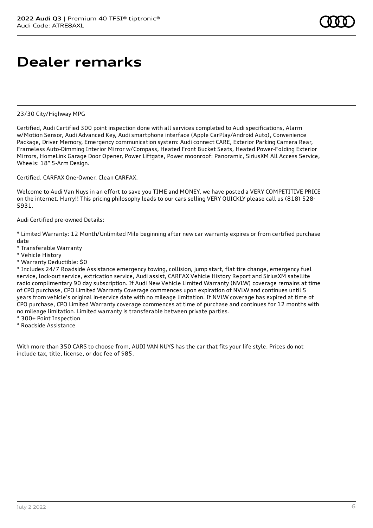## **Dealer remarks**

#### 23/30 City/Highway MPG

Certified, Audi Certified 300 point inspection done with all services completed to Audi specifications, Alarm w/Motion Sensor, Audi Advanced Key, Audi smartphone interface (Apple CarPlay/Android Auto), Convenience Package, Driver Memory, Emergency communication system: Audi connect CARE, Exterior Parking Camera Rear, Frameless Auto-Dimming Interior Mirror w/Compass, Heated Front Bucket Seats, Heated Power-Folding Exterior Mirrors, HomeLink Garage Door Opener, Power Liftgate, Power moonroof: Panoramic, SiriusXM All Access Service, Wheels: 18" 5-Arm Design.

Certified. CARFAX One-Owner. Clean CARFAX.

Welcome to Audi Van Nuys in an effort to save you TIME and MONEY, we have posted a VERY COMPETITIVE PRICE on the internet. Hurry!! This pricing philosophy leads to our cars selling VERY QUICKLY please call us (818) 528- 5931.

#### Audi Certified pre-owned Details:

\* Limited Warranty: 12 Month/Unlimited Mile beginning after new car warranty expires or from certified purchase date

- \* Transferable Warranty
- \* Vehicle History
- \* Warranty Deductible: \$0

\* Includes 24/7 Roadside Assistance emergency towing, collision, jump start, flat tire change, emergency fuel service, lock-out service, extrication service, Audi assist, CARFAX Vehicle History Report and SiriusXM satellite radio complimentary 90 day subscription. If Audi New Vehicle Limited Warranty (NVLW) coverage remains at time of CPO purchase, CPO Limited Warranty Coverage commences upon expiration of NVLW and continues until 5 years from vehicle's original in-service date with no mileage limitation. If NVLW coverage has expired at time of CPO purchase, CPO Limited Warranty coverage commences at time of purchase and continues for 12 months with no mileage limitation. Limited warranty is transferable between private parties.

- \* 300+ Point Inspection
- \* Roadside Assistance

With more than 350 CARS to choose from, AUDI VAN NUYS has the car that fits your life style. Prices do not include tax, title, license, or doc fee of \$85.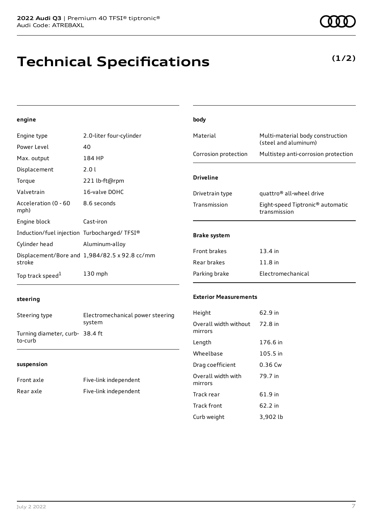# **Technical Specifications**

**(1/2)**

#### **engine**

| Engine type                                 | 2.0-liter four-cylinder                              | Material             | Multi-material body construction                             |
|---------------------------------------------|------------------------------------------------------|----------------------|--------------------------------------------------------------|
| Power Level                                 | 40                                                   |                      | (steel and aluminum)                                         |
| Max. output                                 | 184 HP                                               | Corrosion protection | Multistep anti-corrosion protection                          |
| Displacement                                | 2.0 l                                                |                      |                                                              |
| Torque                                      | 221 lb-ft@rpm                                        | <b>Driveline</b>     |                                                              |
| Valvetrain                                  | 16-valve DOHC                                        | Drivetrain type      | quattro <sup>®</sup> all-wheel drive                         |
| Acceleration (0 - 60<br>mph)                | 8.6 seconds                                          | Transmission         | Eight-speed Tiptronic <sup>®</sup> automatic<br>transmission |
| Engine block                                | Cast-iron                                            |                      |                                                              |
| Induction/fuel injection Turbocharged/TFSI® |                                                      | <b>Brake system</b>  |                                                              |
| Cylinder head                               | Aluminum-alloy                                       |                      |                                                              |
|                                             | Displacement/Bore and $1,984/82.5 \times 92.8$ cc/mm | Front brakes         | $13.4$ in                                                    |
| stroke                                      |                                                      | Rear brakes          | $11.8$ in                                                    |
| Top track speed <sup>1</sup>                | $130$ mph                                            | Parking brake        | Electromechanical                                            |

**body**

#### **steering**

Steering type Electromechanical power steering system Turning diameter, curb-38.4 ft to-curb

#### **suspension**

| Front axle | Five-link independent |
|------------|-----------------------|
| Rear axle  | Five-link independent |

#### **Exterior Measurements**

| Height                           | 62.9 in  |
|----------------------------------|----------|
| Overall width without<br>mirrors | 72.8 in  |
| Length                           | 176.6 in |
| Wheelbase                        | 105.5 in |
| Drag coefficient                 | 0.36 Cw  |
| Overall width with<br>mirrors    | 79.7 in  |
| Track rear                       | 61.9 in  |
| Track front                      | 62.2 in  |
| Curb weight                      | 3,902 lb |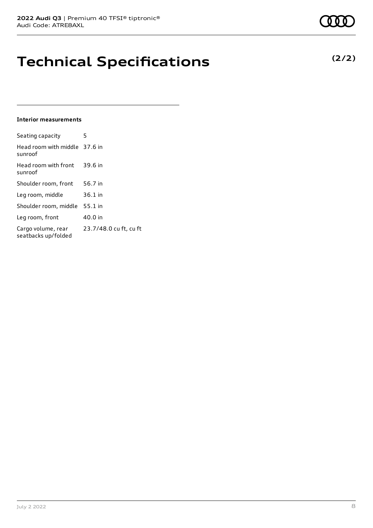## **Technical Specifications**

#### **Interior measurements**

| Seating capacity                          | 5                      |
|-------------------------------------------|------------------------|
| Head room with middle 37.6 in<br>sunroof  |                        |
| Head room with front<br>sunroof           | 39.6 in                |
| Shoulder room, front                      | 56.7 in                |
| Leg room, middle                          | 36.1 in                |
| Shoulder room, middle                     | 55.1 in                |
| Leg room, front                           | 40.0 in                |
| Cargo volume, rear<br>seatbacks up/folded | 23.7/48.0 cu ft, cu ft |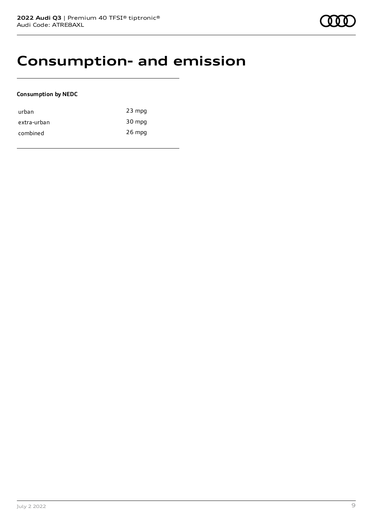### **Consumption- and emission**

#### **Consumption by NEDC**

| urban       | $23$ mpg |
|-------------|----------|
| extra-urban | 30 mpg   |
| combined    | $26$ mpg |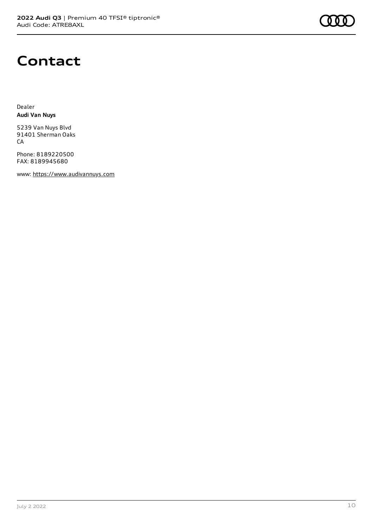

### **Contact**

Dealer **Audi Van Nuys**

5239 Van Nuys Blvd 91401 Sherman Oaks CA

Phone: 8189220500 FAX: 8189945680

www: [https://www.audivannuys.com](https://www.audivannuys.com/)